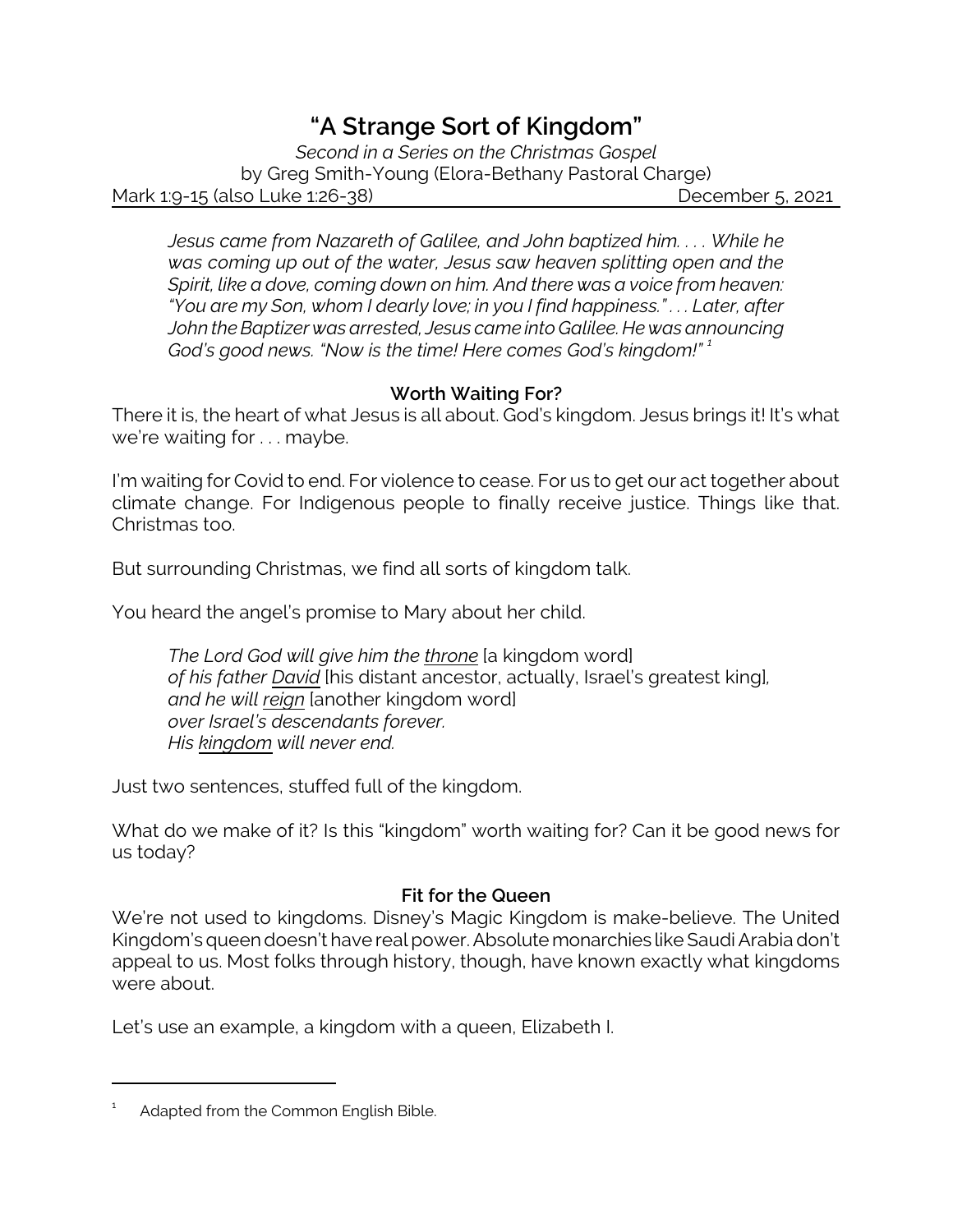# *"A Strange Sort of Kingdom"*

*Second in a Series on the Christmas Gospel* by Greg Smith-Young (Elora-Bethany Pastoral Charge) Mark 1:9-15 (also Luke 1:26-38) December 5, 2021

*Jesus came from Nazareth of Galilee, and John baptized him. . . . While he was coming up out of the water, Jesus saw heaven splitting open and the Spirit, like a dove, coming down on him. And there was a voice from heaven: "You are my Son, whom I dearly love; in you I find happiness." . . . Later, after John the Baptizer was arrested, Jesus came into Galilee. He was announcing God's good news. "Now is the time! Here comes God's kingdom!" <sup>1</sup>*

## **Worth Waiting For?**

There it is, the heart of what Jesus is all about. God's kingdom. Jesus brings it! It's what we're waiting for . . . maybe.

I'm waiting for Covid to end. For violence to cease. For us to get our act together about climate change. For Indigenous people to finally receive justice. Things like that. Christmas too.

But surrounding Christmas, we find all sorts of kingdom talk.

You heard the angel's promise to Mary about her child.

*The Lord God will give him the throne* [a kingdom word] *of his father David* [his distant ancestor, actually, Israel's greatest king]*, and he will reign* [another kingdom word] *over Israel's descendants forever. His kingdom will never end.*

Just two sentences, stuffed full of the kingdom.

What do we make of it? Is this "kingdom" worth waiting for? Can it be good news for us today?

#### **Fit for the Queen**

We're not used to kingdoms. Disney's Magic Kingdom is make-believe. The United Kingdom's queen doesn't have real power. Absolutemonarchies like Saudi Arabia don't appeal to us. Most folks through history, though, have known exactly what kingdoms were about.

Let's use an example, a kingdom with a queen, Elizabeth I.

<sup>1</sup> Adapted from the Common English Bible.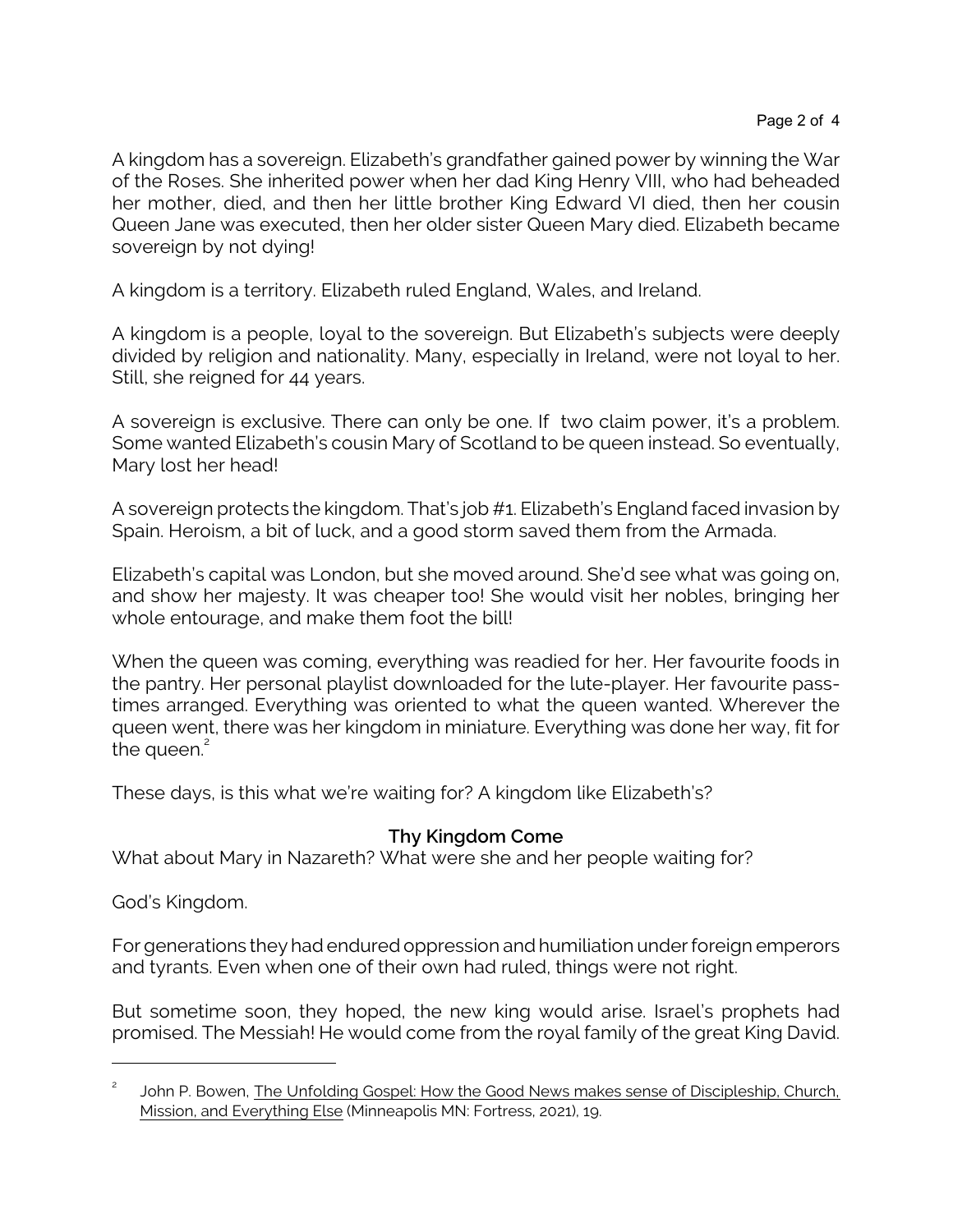A kingdom has a sovereign. Elizabeth's grandfather gained power by winning the War of the Roses. She inherited power when her dad King Henry VIII, who had beheaded her mother, died, and then her little brother King Edward VI died, then her cousin Queen Jane was executed, then her older sister Queen Mary died. Elizabeth became sovereign by not dying!

A kingdom is a territory. Elizabeth ruled England, Wales, and Ireland.

A kingdom is a people, loyal to the sovereign. But Elizabeth's subjects were deeply divided by religion and nationality. Many, especially in Ireland, were not loyal to her. Still, she reigned for 44 years.

A sovereign is exclusive. There can only be one. If two claim power, it's a problem. Some wanted Elizabeth's cousin Mary of Scotland to be queen instead. So eventually, Mary lost her head!

A sovereign protects the kingdom. That's job #1. Elizabeth's England faced invasion by Spain. Heroism, a bit of luck, and a good storm saved them from the Armada.

Elizabeth's capital was London, but she moved around. She'd see what was going on, and show her majesty. It was cheaper too! She would visit her nobles, bringing her whole entourage, and make them foot the bill!

When the queen was coming, everything was readied for her. Her favourite foods in the pantry. Her personal playlist downloaded for the lute-player. Her favourite passtimes arranged. Everything was oriented to what the queen wanted. Wherever the queen went, there was her kingdom in miniature. Everything was done her way, fit for the queen.<sup>2</sup>

These days, is this what we're waiting for? A kingdom like Elizabeth's?

## **Thy Kingdom Come**

What about Mary in Nazareth? What were she and her people waiting for?

God's Kingdom.

For generations they had endured oppression and humiliation under foreign emperors and tyrants. Even when one of their own had ruled, things were not right.

But sometime soon, they hoped, the new king would arise. Israel's prophets had promised. The Messiah! He would come from the royal family of the great King David.

<sup>2</sup> John P. Bowen, The Unfolding Gospel: How the Good News makes sense of Discipleship, Church, Mission, and Everything Else (Minneapolis MN: Fortress, 2021), 19.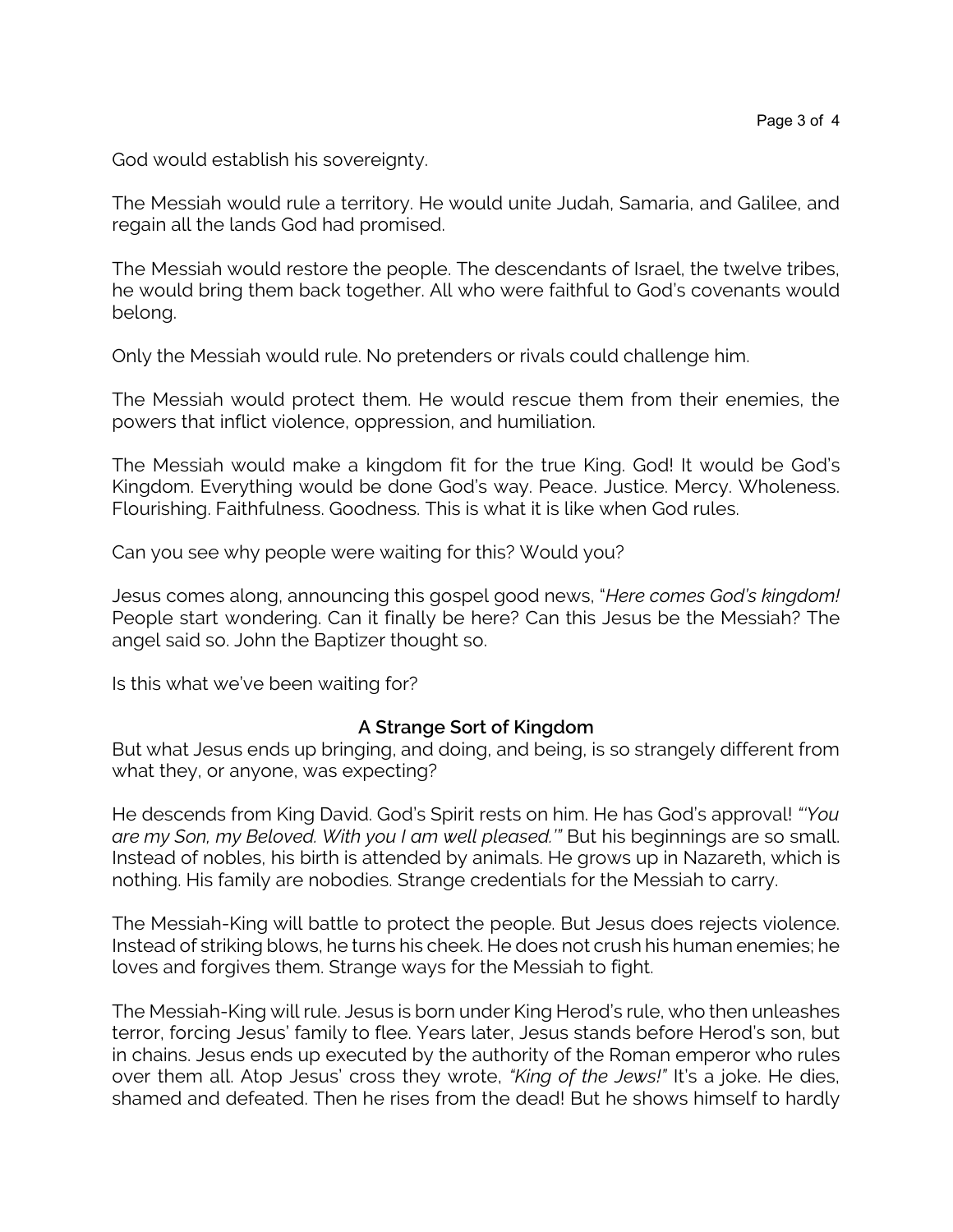God would establish his sovereignty.

The Messiah would rule a territory. He would unite Judah, Samaria, and Galilee, and regain all the lands God had promised.

The Messiah would restore the people. The descendants of Israel, the twelve tribes, he would bring them back together. All who were faithful to God's covenants would belong.

Only the Messiah would rule. No pretenders or rivals could challenge him.

The Messiah would protect them. He would rescue them from their enemies, the powers that inflict violence, oppression, and humiliation.

The Messiah would make a kingdom fit for the true King. God! It would be God's Kingdom. Everything would be done God's way. Peace. Justice. Mercy. Wholeness. Flourishing. Faithfulness. Goodness. This is what it is like when God rules.

Can you see why people were waiting for this? Would you?

Jesus comes along, announcing this gospel good news, "*Here comes God's kingdom!* People start wondering. Can it finally be here? Can this Jesus be the Messiah? The angel said so. John the Baptizer thought so.

Is this what we've been waiting for?

#### **A Strange Sort of Kingdom**

But what Jesus ends up bringing, and doing, and being, is so strangely different from what they, or anyone, was expecting?

He descends from King David. God's Spirit rests on him. He has God's approval! *"'You are my Son, my Beloved. With you I am well pleased.'"* But his beginnings are so small. Instead of nobles, his birth is attended by animals. He grows up in Nazareth, which is nothing. His family are nobodies. Strange credentials for the Messiah to carry.

The Messiah-King will battle to protect the people. But Jesus does rejects violence. Instead of striking blows, he turns his cheek. He does not crush his human enemies; he loves and forgives them. Strange ways for the Messiah to fight.

The Messiah-King will rule. Jesus is born under King Herod's rule, who then unleashes terror, forcing Jesus' family to flee. Years later, Jesus stands before Herod's son, but in chains. Jesus ends up executed by the authority of the Roman emperor who rules over them all. Atop Jesus' cross they wrote, *"King of the Jews!"* It's a joke. He dies, shamed and defeated. Then he rises from the dead! But he shows himself to hardly